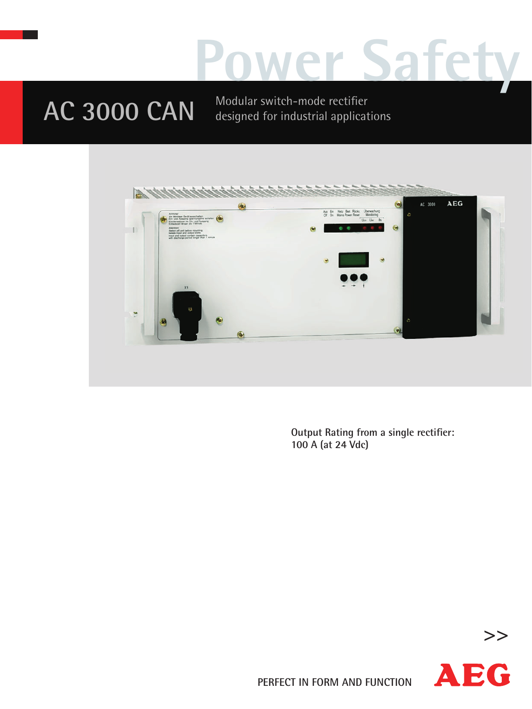## **Power Safety**

## AC 3000 CAN Modular switch-mode rectifier

designed for industrial applications



**Output Rating from a single rectifier: 100 A (at 24 Vdc)**



**>>**

**PERFECT IN FORM AND FUNCTION**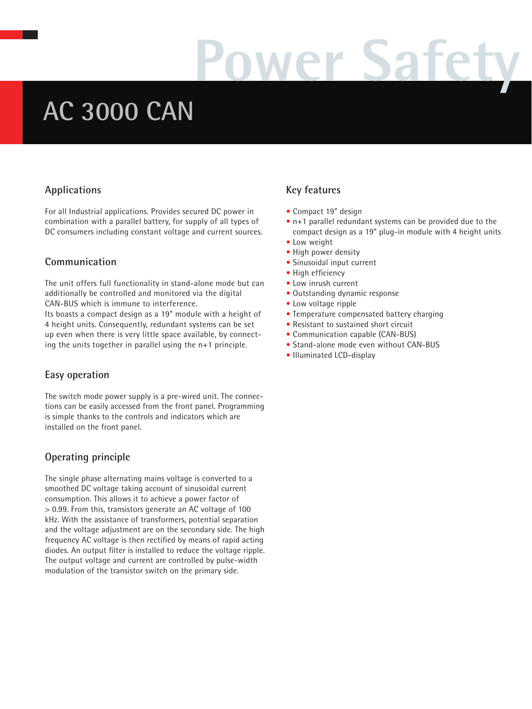# **Power Safety**

### **AC 3000 CAN**

#### **Applications**

For all Industrial applications. Provides secured DC power in combination with a parallel battery, for supply of all types of DC consumers including constant voltage and current sources.

#### **Communication**

The unit offers full functionality in stand-alone mode but can additionally be controlled and monitored via the digital CAN-BUS which is immune to interference.

Its boasts a compact design as a 19" module with a height of 4 height units. Consequently, redundant systems can be set up even when there is very little space available, by connecting the units together in parallel using the n+1 principle.

#### **Easy operation**

The switch mode power supply is a pre-wired unit. The connections can be easily accessed from the front panel. Programming is simple thanks to the controls and indicators which are installed on the front panel.

#### **Operating principle**

The single phase alternating mains voltage is converted to a smoothed DC voltage taking account of sinusoidal current consumption. This allows it to achieve a power factor of > 0.99. From this, transistors generate an AC voltage of 100 kHz. With the assistance of transformers, potential separation and the voltage adjustment are on the secondary side. The high frequency AC voltage is then rectified by means of rapid acting diodes. An output filter is installed to reduce the voltage ripple. The output voltage and current are controlled by pulse-width modulation of the transistor switch on the primary side.

#### **Key features**

- Compact 19" design
- n+1 parallel redundant systems can be provided due to the compact design as a 19" plug-in module with 4 height units
- Low weight
- High power density
- **•** Sinusoidal input current
- High efficiency
- Low inrush current **•** Outstanding dynamic response
- 
- Low voltage ripple
- **•** Temperature compensated battery charging
- Resistant to sustained short circuit
- Communication capable (CAN-BUS)
- Stand-alone mode even without CAN-BUS
- **•** Illuminated LCD-display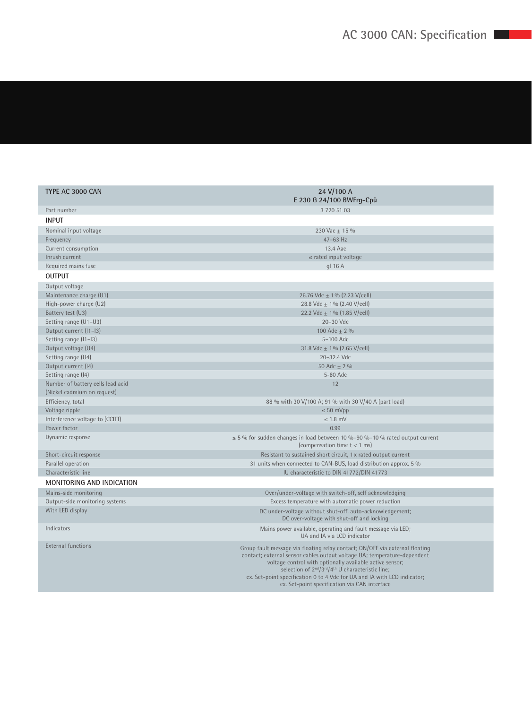| TYPE AC 3000 CAN                                                 | 24 V/100 A<br>E 230 G 24/100 BWFrg-Cpü                                                                                                                                                                                                                                                                                                                                                                                                     |
|------------------------------------------------------------------|--------------------------------------------------------------------------------------------------------------------------------------------------------------------------------------------------------------------------------------------------------------------------------------------------------------------------------------------------------------------------------------------------------------------------------------------|
| Part number                                                      | 3 720 51 03                                                                                                                                                                                                                                                                                                                                                                                                                                |
| <b>INPUT</b>                                                     |                                                                                                                                                                                                                                                                                                                                                                                                                                            |
| Nominal input voltage                                            | 230 Vac ± 15 %                                                                                                                                                                                                                                                                                                                                                                                                                             |
| Frequency                                                        | $47-63$ Hz                                                                                                                                                                                                                                                                                                                                                                                                                                 |
| Current consumption                                              | 13.4 Aac                                                                                                                                                                                                                                                                                                                                                                                                                                   |
| Inrush current                                                   | $\le$ rated input voltage                                                                                                                                                                                                                                                                                                                                                                                                                  |
| Required mains fuse                                              | gl 16 A                                                                                                                                                                                                                                                                                                                                                                                                                                    |
| <b>OUTPUT</b>                                                    |                                                                                                                                                                                                                                                                                                                                                                                                                                            |
| Output voltage                                                   |                                                                                                                                                                                                                                                                                                                                                                                                                                            |
| Maintenance charge (U1)                                          | 26.76 Vdc $\pm$ 1% (2.23 V/cell)                                                                                                                                                                                                                                                                                                                                                                                                           |
| High-power charge (U2)                                           | 28.8 Vdc $\pm$ 1% (2.40 V/cell)                                                                                                                                                                                                                                                                                                                                                                                                            |
| Battery test (U3)                                                | 22.2 Vdc $\pm$ 1% (1.85 V/cell)                                                                                                                                                                                                                                                                                                                                                                                                            |
| Setting range (U1-U3)                                            | 20-30 Vdc                                                                                                                                                                                                                                                                                                                                                                                                                                  |
| Output current (11-13)                                           | 100 Adc $\pm$ 2 %                                                                                                                                                                                                                                                                                                                                                                                                                          |
| Setting range (11-13)                                            | 5-100 Adc                                                                                                                                                                                                                                                                                                                                                                                                                                  |
| Output voltage (U4)                                              | 31.8 Vdc $\pm$ 1% (2.65 V/cell)                                                                                                                                                                                                                                                                                                                                                                                                            |
| Setting range (U4)                                               | 20-32.4 Vdc                                                                                                                                                                                                                                                                                                                                                                                                                                |
| Output current (14)                                              | 50 Adc $\pm$ 2 %                                                                                                                                                                                                                                                                                                                                                                                                                           |
| Setting range (14)                                               | 5-80 Adc                                                                                                                                                                                                                                                                                                                                                                                                                                   |
| Number of battery cells lead acid<br>(Nickel cadmium on request) | 12                                                                                                                                                                                                                                                                                                                                                                                                                                         |
| Efficiency, total                                                | 88 % with 30 V/100 A; 91 % with 30 V/40 A (part load)                                                                                                                                                                                                                                                                                                                                                                                      |
| Voltage ripple                                                   | $\leq 50$ mVpp                                                                                                                                                                                                                                                                                                                                                                                                                             |
| Interference voltage to (CCITT)                                  | $\leq 1.8$ mV                                                                                                                                                                                                                                                                                                                                                                                                                              |
| Power factor                                                     | 0.99                                                                                                                                                                                                                                                                                                                                                                                                                                       |
| Dynamic response                                                 | $\leq$ 5 % for sudden changes in load between 10 %-90 %-10 % rated output current<br>(compensation time $t < 1$ ms)                                                                                                                                                                                                                                                                                                                        |
| Short-circuit response                                           | Resistant to sustained short circuit, 1 x rated output current                                                                                                                                                                                                                                                                                                                                                                             |
| Parallel operation                                               | 31 units when connected to CAN-BUS, load distribution approx. 5 %                                                                                                                                                                                                                                                                                                                                                                          |
| Characteristic line                                              | IU characteristic to DIN 41772/DIN 41773                                                                                                                                                                                                                                                                                                                                                                                                   |
| <b>MONITORING AND INDICATION</b>                                 |                                                                                                                                                                                                                                                                                                                                                                                                                                            |
| Mains-side monitoring                                            | Over/under-voltage with switch-off, self acknowledging                                                                                                                                                                                                                                                                                                                                                                                     |
| Output-side monitoring systems                                   | Excess temperature with automatic power reduction                                                                                                                                                                                                                                                                                                                                                                                          |
| With LED display                                                 | DC under-voltage without shut-off, auto-acknowledgement;<br>DC over-voltage with shut-off and locking                                                                                                                                                                                                                                                                                                                                      |
| Indicators                                                       | Mains power available, operating and fault message via LED;<br>UA and IA via LCD indicator                                                                                                                                                                                                                                                                                                                                                 |
| <b>External functions</b>                                        | Group fault message via floating relay contact; ON/OFF via external floating<br>contact; external sensor cables output voltage UA; temperature-dependent<br>voltage control with optionally available active sensor;<br>selection of 2 <sup>nd</sup> /3 <sup>rd</sup> /4 <sup>th</sup> U characteristic line;<br>ex. Set-point specification 0 to 4 Vdc for UA and IA with LCD indicator;<br>ex. Set-point specification via CAN interface |